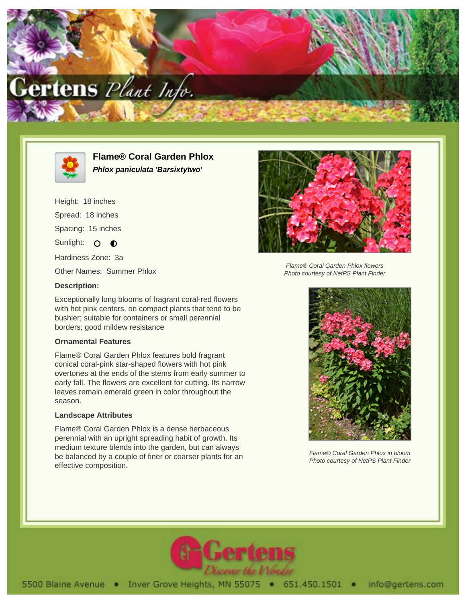



**Flame® Coral Garden Phlox Phlox paniculata 'Barsixtytwo'**

Height: 18 inches Spread: 18 inches Spacing: 15 inches Sunlight: O **O** Hardiness Zone: 3a Other Names: Summer Phlox **Description:**

Exceptionally long blooms of fragrant coral-red flowers with hot pink centers, on compact plants that tend to be bushier; suitable for containers or small perennial borders; good mildew resistance

## **Ornamental Features**

Flame® Coral Garden Phlox features bold fragrant conical coral-pink star-shaped flowers with hot pink overtones at the ends of the stems from early summer to early fall. The flowers are excellent for cutting. Its narrow leaves remain emerald green in color throughout the season.

## **Landscape Attributes**

Flame® Coral Garden Phlox is a dense herbaceous perennial with an upright spreading habit of growth. Its medium texture blends into the garden, but can always be balanced by a couple of finer or coarser plants for an effective composition.



Flame® Coral Garden Phlox flowers Photo courtesy of NetPS Plant Finder



Flame® Coral Garden Phlox in bloom Photo courtesy of NetPS Plant Finder